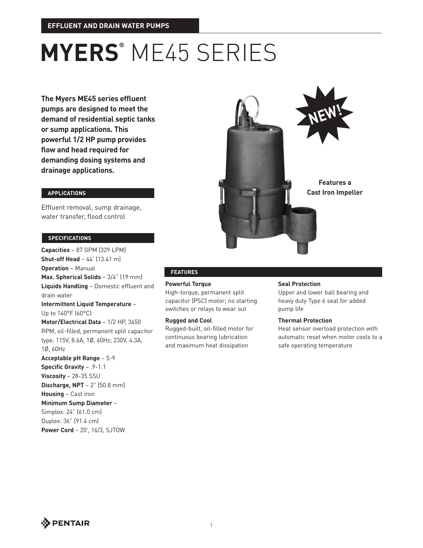# **MYERS®** ME45 SERIES

**The Myers ME45 series effluent pumps are designed to meet the demand of residential septic tanks or sump applications. This powerful 1/2 HP pump provides flow and head required for demanding dosing systems and drainage applications.**

# **APPLICATIONS**

Effluent removal, sump drainage, water transfer, flood control

#### **SPECIFICATIONS**

**Capacities** – 87 GPM (329 LPM) **Shut-off Head** – 44' (13.41 m) **Operation** – Manual **Max. Spherical Solids** – 3/4" (19 mm) **Liquids Handling** – Domestic effluent and drain water **Intermittent Liquid Temperature** – Up to 140°F (60°C) **Motor/Electrical Data** – 1/2 HP, 3450 RPM, oil-filled, permanent split capacitor type, 115V, 8.6A, 1Ø, 60Hz; 230V, 4.3A, 1Ø, 60Hz **Acceptable pH Range** – 5-9 **Specific Gravity** – .9-1.1 **Viscosity** – 28-35 SSU **Discharge, NPT** – 2" (50.8 mm) **Housing** – Cast iron **Minimum Sump Diameter** – Simplex: 24" (61.0 cm) Duplex: 36" (91.4 cm) **Power Cord** – 20', 16/3, SJTOW



# **FEATURES**

**Powerful Torque** High-torque, permanent split capacitor (PSC) motor; no starting switches or relays to wear out

#### **Rugged and Cool**

Rugged-built, oil-filled motor for continuous bearing lubrication and maximum heat dissipation

### **Seal Protection**

Upper and lower ball bearing and heavy duty Type 6 seal for added pump life

### **Thermal Protection**

Heat sensor overload protection with automatic reset when motor cools to a safe operating temperature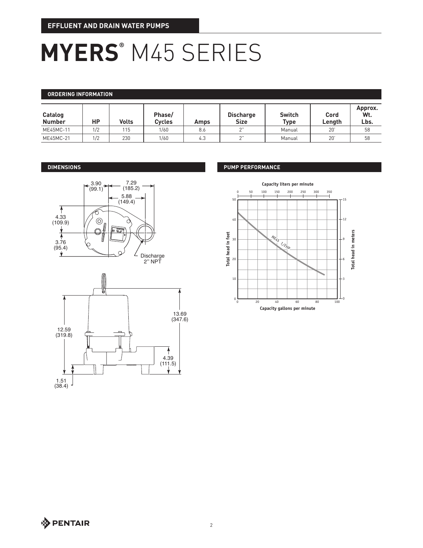# **MYERS®** M45 SERIES

### **ORDERING INFORMATION**

| Catalog<br><b>Number</b> | НP  | <b>Volts</b> | Phase/<br><b>Cycles</b> | Amps | <b>Discharge</b><br><b>Size</b> | <b>Switch</b><br><b>Type</b> | Cord<br>Lenath | Approx.<br>Wt.<br>Lbs. |
|--------------------------|-----|--------------|-------------------------|------|---------------------------------|------------------------------|----------------|------------------------|
| ME45MC-11                | 1/2 | 115          | 1/60                    | 8.6  | $\sim$ "                        | Manual                       | -20'           | 58                     |
| ME45MC-21                | 1/2 | 230          | 1/60                    | 4.3  | $\sim$ "                        | Manual                       | 20'            | 58                     |

# **DIMENSIONS**





# **PUMP PERFORMANCE**

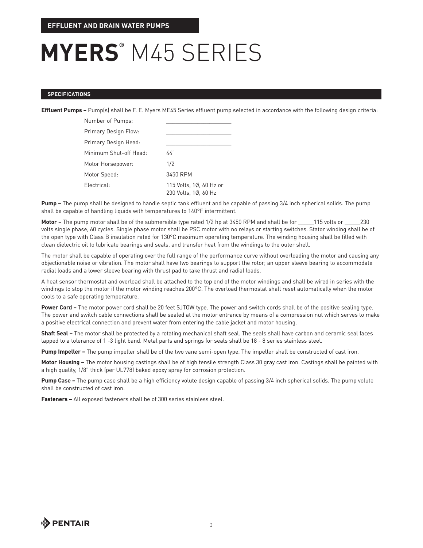# **MYERS®** M45 SERIES

#### **SPECIFICATIONS**

**Effluent Pumps –** Pump(s) shall be F. E. Myers ME45 Series effluent pump selected in accordance with the following design criteria:

| Number of Pumps:       |                                                 |  |  |
|------------------------|-------------------------------------------------|--|--|
| Primary Design Flow:   |                                                 |  |  |
| Primary Design Head:   |                                                 |  |  |
| Minimum Shut-off Head: | 44'                                             |  |  |
| Motor Horsepower:      | 1/2                                             |  |  |
| Motor Speed:           | 3450 RPM                                        |  |  |
| Electrical:            | 115 Volts, 1Ø, 60 Hz or<br>230 Volts, 10, 60 Hz |  |  |

**Pump –** The pump shall be designed to handle septic tank effluent and be capable of passing 3/4 inch spherical solids. The pump shall be capable of handling liquids with temperatures to 140°F intermittent.

**Motor –** The pump motor shall be of the submersible type rated 1/2 hp at 3450 RPM and shall be for \_\_\_\_\_115 volts or \_\_\_\_\_230 volts single phase, 60 cycles. Single phase motor shall be PSC motor with no relays or starting switches. Stator winding shall be of the open type with Class B insulation rated for 130°C maximum operating temperature. The winding housing shall be filled with clean dielectric oil to lubricate bearings and seals, and transfer heat from the windings to the outer shell.

The motor shall be capable of operating over the full range of the performance curve without overloading the motor and causing any objectionable noise or vibration. The motor shall have two bearings to support the rotor; an upper sleeve bearing to accommodate radial loads and a lower sleeve bearing with thrust pad to take thrust and radial loads.

A heat sensor thermostat and overload shall be attached to the top end of the motor windings and shall be wired in series with the windings to stop the motor if the motor winding reaches 200°C. The overload thermostat shall reset automatically when the motor cools to a safe operating temperature.

Power Cord – The motor power cord shall be 20 feet SJTOW type. The power and switch cords shall be of the positive sealing type. The power and switch cable connections shall be sealed at the motor entrance by means of a compression nut which serves to make a positive electrical connection and prevent water from entering the cable jacket and motor housing.

**Shaft Seal –** The motor shall be protected by a rotating mechanical shaft seal. The seals shall have carbon and ceramic seal faces lapped to a tolerance of 1 -3 light band. Metal parts and springs for seals shall be 18 - 8 series stainless steel.

**Pump Impeller –** The pump impeller shall be of the two vane semi-open type. The impeller shall be constructed of cast iron.

**Motor Housing –** The motor housing castings shall be of high tensile strength Class 30 gray cast iron. Castings shall be painted with a high quality, 1/8" thick (per UL778) baked epoxy spray for corrosion protection.

**Pump Case –** The pump case shall be a high efficiency volute design capable of passing 3/4 inch spherical solids. The pump volute shall be constructed of cast iron.

**Fasteners –** All exposed fasteners shall be of 300 series stainless steel.